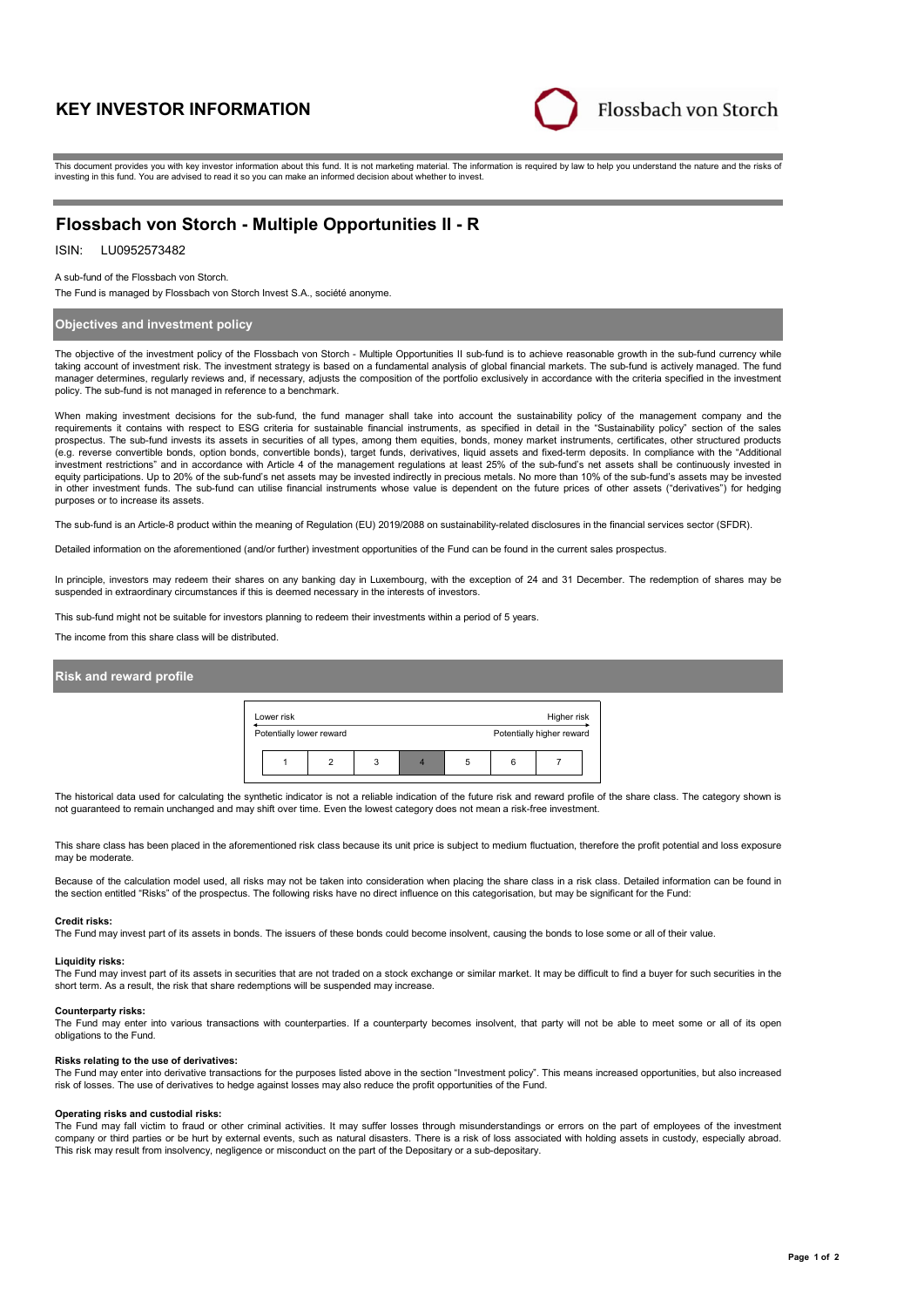# **KEY INVESTOR INFORMATION**



This document provides you with key investor information about this fund. It is not marketing material. The information is required by law to help you understand the nature and the risks of investing in this fund. You are advised to read it so you can make an informed decision about whether to invest.

# **Flossbach von Storch - Multiple Opportunities II - R**

# ISIN: LU0952573482

A sub-fund of the Flossbach von Storch.

The Fund is managed by Flossbach von Storch Invest S.A., société anonyme.

## **Objectives and investment policy**

The objective of the investment policy of the Flossbach von Storch - Multiple Opportunities II sub-fund is to achieve reasonable growth in the sub-fund currency while taking account of investment risk. The investment strategy is based on a fundamental analysis of global financial markets. The sub-fund is actively managed. The fund manager determines, regularly reviews and, if necessary, adjusts the composition of the portfolio exclusively in accordance with the criteria specified in the investment policy. The sub-fund is not managed in reference to a benchmark.

When making investment decisions for the sub-fund, the fund manager shall take into account the sustainability policy of the management company and the requirements it contains with respect to ESG criteria for sustainable financial instruments, as specified in detail in the "Sustainability policy" section of the sales prospectus. The sub-fund invests its assets in securities of all types, among them equities, bonds, money market instruments, certificates, other structured products (e.g. reverse convertible bonds, option bonds, convertible bonds), target funds, derivatives, liquid assets and fixed-term deposits. In compliance with the "Additional investment restrictions" and in accordance with Article 4 of the management regulations at least 25% of the sub-fund's net assets shall be continuously invested in equity participations. Up to 20% of the sub-fund's net assets may be invested indirectly in precious metals. No more than 10% of the sub-fund's assets may be invested in other investment funds. The sub-fund can utilise financial instruments whose value is dependent on the future prices of other assets ("derivatives") for hedging purposes or to increase its assets.

The sub-fund is an Article-8 product within the meaning of Regulation (EU) 2019/2088 on sustainability-related disclosures in the financial services sector (SFDR).

Detailed information on the aforementioned (and/or further) investment opportunities of the Fund can be found in the current sales prospectus.

In principle, investors may redeem their shares on any banking day in Luxembourg, with the exception of 24 and 31 December. The redemption of shares may be suspended in extraordinary circumstances if this is deemed necessary in the interests of investors.

This sub-fund might not be suitable for investors planning to redeem their investments within a period of 5 years.

The income from this share class will be distributed.

## **Risk and reward profile**

| Lower risk               |  |  |   |  |                           |   | Higher risk |  |
|--------------------------|--|--|---|--|---------------------------|---|-------------|--|
| Potentially lower reward |  |  |   |  | Potentially higher reward |   |             |  |
|                          |  |  | 3 |  | 5                         | 6 |             |  |

The historical data used for calculating the synthetic indicator is not a reliable indication of the future risk and reward profile of the share class. The category shown is not guaranteed to remain unchanged and may shift over time. Even the lowest category does not mean a risk-free investment.

This share class has been placed in the aforementioned risk class because its unit price is subject to medium fluctuation, therefore the profit potential and loss exposure may be moderate

Because of the calculation model used, all risks may not be taken into consideration when placing the share class in a risk class. Detailed information can be found in<br>the section entitled "Risks" of the prospectus. The fo

#### **Credit risks:**

The Fund may invest part of its assets in bonds. The issuers of these bonds could become insolvent, causing the bonds to lose some or all of their value.

#### **Liquidity risks:**

The Fund may invest part of its assets in securities that are not traded on a stock exchange or similar market. It may be difficult to find a buyer for such securities in the short term. As a result, the risk that share redemptions will be suspended may increase.

#### **Counterparty risks:**

The Fund may enter into various transactions with counterparties. If a counterparty becomes insolvent, that party will not be able to meet some or all of its open obligations to the Fund.

#### **Risks relating to the use of derivatives:**

The Fund may enter into derivative transactions for the purposes listed above in the section "Investment policy". This means increased opportunities, but also increased risk of losses. The use of derivatives to hedge against losses may also reduce the profit opportunities of the Fund.

#### **Operating risks and custodial risks:**

The Fund may fall victim to fraud or other criminal activities. It may suffer losses through misunderstandings or errors on the part of employees of the investment company or third parties or be hurt by external events, such as natural disasters. There is a risk of loss associated with holding assets in custody, especially abroad. This risk may result from insolvency, negligence or misconduct on the part of the Depositary or a sub-depositary.